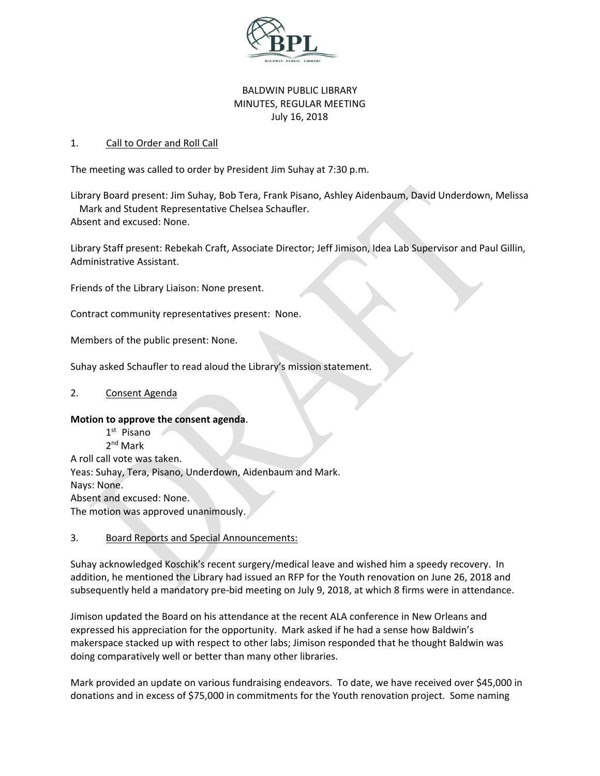

# BALDWIN PUBLIC LIBRARY MINUTES, REGULAR MEETING July 16, 2018

### 1. Call to Order and Roll Call

The meeting was called to order by President Jim Suhay at 7:30 p.m.

Library Board present: Jim Suhay, Bob Tera, Frank Pisano, Ashley Aidenbaum, David Underdown, Melissa Mark and Student Representative Chelsea Schaufler. Absent and excused: None.

Library Staff present: Rebekah Craft, Associate Director; Jeff Jimison, Idea Lab Supervisor and Paul Gillin, Administrative Assistant.

Friends of the Library Liaison: None present.

Contract community representatives present: None.

Members of the public present: None.

Suhay asked Schaufler to read aloud the Library's mission statement.

#### 2. Consent Agenda

#### **Motion to approve the consent agenda**.

1st Pisano 2nd Mark A roll call vote was taken. Yeas: Suhay, Tera, Pisano, Underdown, Aidenbaum and Mark. Nays: None. Absent and excused: None. The motion was approved unanimously.

#### 3. Board Reports and Special Announcements:

Suhay acknowledged Koschik's recent surgery/medical leave and wished him a speedy recovery. In addition, he mentioned the Library had issued an RFP for the Youth renovation on June 26, 2018 and subsequently held a mandatory pre‐bid meeting on July 9, 2018, at which 8 firms were in attendance.

Jimison updated the Board on his attendance at the recent ALA conference in New Orleans and expressed his appreciation for the opportunity. Mark asked if he had a sense how Baldwin's makerspace stacked up with respect to other labs; Jimison responded that he thought Baldwin was doing comparatively well or better than many other libraries.

Mark provided an update on various fundraising endeavors. To date, we have received over \$45,000 in donations and in excess of \$75,000 in commitments for the Youth renovation project. Some naming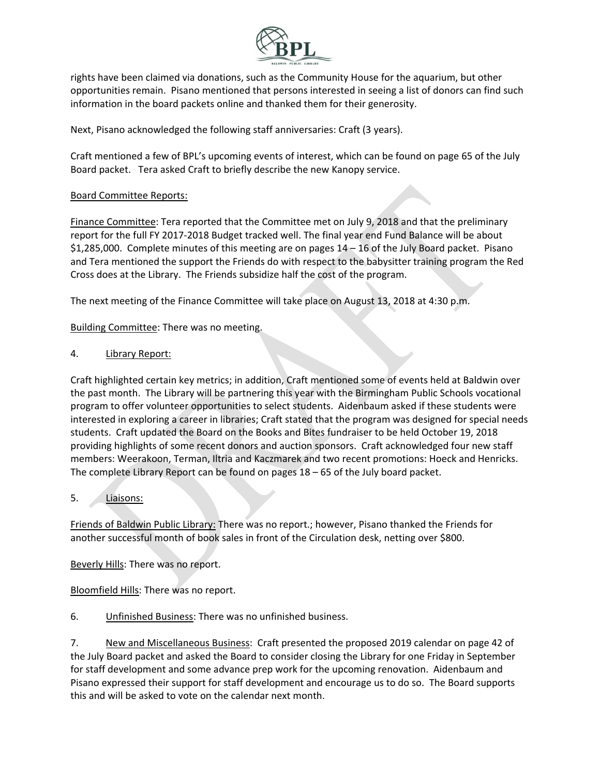

rights have been claimed via donations, such as the Community House for the aquarium, but other opportunities remain. Pisano mentioned that persons interested in seeing a list of donors can find such information in the board packets online and thanked them for their generosity.

Next, Pisano acknowledged the following staff anniversaries: Craft (3 years).

Craft mentioned a few of BPL's upcoming events of interest, which can be found on page 65 of the July Board packet. Tera asked Craft to briefly describe the new Kanopy service.

## Board Committee Reports:

Finance Committee: Tera reported that the Committee met on July 9, 2018 and that the preliminary report for the full FY 2017‐2018 Budget tracked well. The final year end Fund Balance will be about \$1,285,000. Complete minutes of this meeting are on pages 14 – 16 of the July Board packet. Pisano and Tera mentioned the support the Friends do with respect to the babysitter training program the Red Cross does at the Library. The Friends subsidize half the cost of the program.

The next meeting of the Finance Committee will take place on August 13, 2018 at 4:30 p.m.

Building Committee: There was no meeting.

## 4. Library Report:

Craft highlighted certain key metrics; in addition, Craft mentioned some of events held at Baldwin over the past month. The Library will be partnering this year with the Birmingham Public Schools vocational program to offer volunteer opportunities to select students. Aidenbaum asked if these students were interested in exploring a career in libraries; Craft stated that the program was designed for special needs students. Craft updated the Board on the Books and Bites fundraiser to be held October 19, 2018 providing highlights of some recent donors and auction sponsors. Craft acknowledged four new staff members: Weerakoon, Terman, Iltria and Kaczmarek and two recent promotions: Hoeck and Henricks. The complete Library Report can be found on pages 18 – 65 of the July board packet.

#### 5. Liaisons:

Friends of Baldwin Public Library: There was no report.; however, Pisano thanked the Friends for another successful month of book sales in front of the Circulation desk, netting over \$800.

Beverly Hills: There was no report.

Bloomfield Hills: There was no report.

6. Unfinished Business: There was no unfinished business.

7. New and Miscellaneous Business: Craft presented the proposed 2019 calendar on page 42 of the July Board packet and asked the Board to consider closing the Library for one Friday in September for staff development and some advance prep work for the upcoming renovation. Aidenbaum and Pisano expressed their support for staff development and encourage us to do so. The Board supports this and will be asked to vote on the calendar next month.